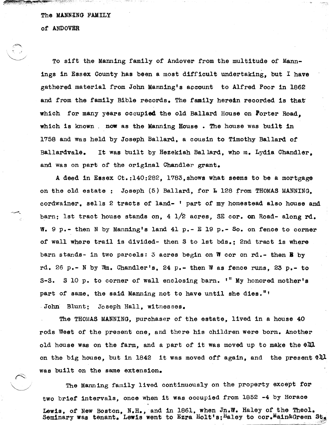## The MANNING FAMILY

or ANDOVER

 $\sum_{i=1}^n\sum_{j=1}^n\alpha_j$ 

To sift the Manning family of Andover from the multitude of Mannings in Essex County has been a most dirficult undertaking, but I have gathered material from John Manning's account to Alfred Poor in 1862 and from the family Bible records. The family herein recorded is that which for many years occupied the old Ballard House on Porter Road. which is known. now as the Manning House. The house was built in 1758 and was held by Joseph Ballard. a cousin to Timothy Ballard or Ballardvale. It was built by Hezekiah Ballard, who m. Lydia Chandler. and was on part of the original Chandler grant.

A deed in Essex Ct.:140:282, l783,shows what seems to be a mortgage on the old estate : Joseph (5) Ballard, for L 128 from THOMAS MANNING. cordwainer. sells 2 tracts of land- ' part of my homestead also house and barn; 1st tract house stands on, 4 1/2 acres, 8E cor. on Road- along rd.  $W_0$ . 9 p.- then N by Manning's land 41 p.- E 19 p.- So. on fence to corner of wall where trail is divided- then S to 1st bds.; 2nd tract is where barn stands- in two parcels: 3 acres begin on W cor on rd.- then B by rd. 26 p.- N by  $\mathbb{W}_n$ . Chandler's, 24 p.- then W as fence runs. 23 p.- to S-S. S 10 p. to corner of wall enclosing barn.  $'$  My honored mother's part of same, the said Manning not to have until she dies."' . John Blunt; Joseph Hall, witnesses.

The THOMAS MANNING, purchaser of the estate, lived in a house 40 rods West of the present one, and there his Children were born. Another old house was on the farm, and a part of it was moved up to make the  $\Theta\Pi$ . on the big house, but in 1842 it was moved off again, and the present  $2.11$ was built on the same extension.

The Manning family lived continuously on the property except for two brief intervals, once when it was occupied from 1852 -4 by Horace Lewis, of New Boston, N.H., and in 1861, when Jn.W. Haley of the Theol.<br>Seminary was tenant. Lewis went to Ezra Holt's; Haley to cor. Main&Green St.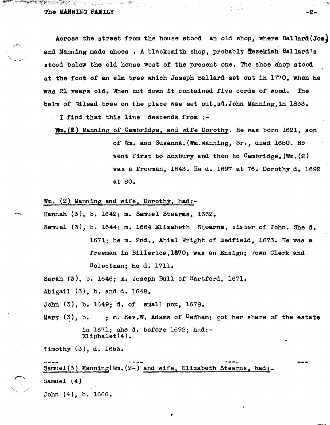The MANNING FAMILY  $\sim$ 

 $\mathcal{L} \subset \mathcal{N}_+$ 

Across the street from the house stood an old shop, where Ballard(Jos) and Manning made shoes. A blacksmith shop, probably ftezekiah Ballard's stood below the old house west of the present one. The shoe shop stood at the foot of an elm tree which Joseph Ballard set out in 1770, when he was 21 years old. When cut down 1t contained five cords of wood. The balm of Gilead tree on the place was set out, sd. John Manning, in  $1833$ .

- <sup>I</sup>find that this line descends from :-

Whm. (2) Manning of Cambridge, and wife Dorothy. He was born 1621, son of Wm. and Susanna. (Wm.manning, Sr., died 1650. He went first to Koxbury and then to Cambridge.)Wm.(2) was a freeman, 1643. He d. 1697 at 76. Dorothy d. 1692 at 80.

Wm. (2) Manning and wife, Dorothy, had:-

Hannah  $(3)$ , b. 1642; m. Samuel Stearns, 1662.

Samuel (3), b. 1644; m. 1664 Elizabeth Stearns, sister of John. She d. 1671; he m. 2nd., Abia1 Wright of Medfield, 1673. He was a freeman in Billerica, 1570; was an Ensign; Town Clerk and Selectman; he d. 1711.

Sarah (3), b. 1646; m. Joseph Bull of Hartford, 1671.

Abigail  $(3)$ , b. and d. 1648.

John (3), b. 1649; d. of small pox, 1678.

Mary  $(3)$ , b. ; m. Rev.W. Adams of Dedham; got her share of the estate in 1671; she d. before 1692; had:-  $E1$ iphalet $(4)$ .

Timothy (3), d. 1653.

Samuel(3) Manning(Wm.(2-) and wife, Elizabeth Stearns, had:- $\text{Sample} \ (4)$ John (4), b. 1666.

•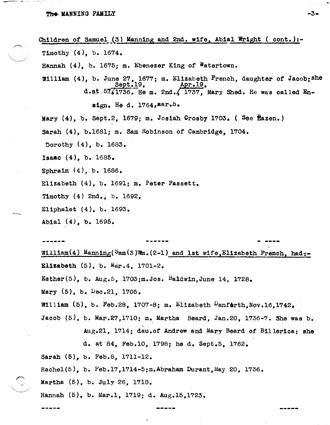## The MANNING FAMILY

~.'

;r--..

 $\mathcal{L}$ 

 $= -1$ 

Children of Samuel (3) Manning and 2nd. wife, Abial Wright (  $cont.$  ):-Timothy (4), b. 1674. Hannah (4), b. 1675; m. Ebenezer King of Watertown. William (4), b. June 27, 1677; m. Elizabeth French, daughter of Jacob; she  $d.*b.*57/1736$ . He m. 2nd./ 1737, Mary Shed. He was called Ensign. He d.  $1764$ , Mar.  $5$ . Mary (4), b. Sept.2, 1679; m. Josiah Crosby 1703. ( See ftazen.) Sarah (4), b.168l; m. Sam Robinson of Cambridge, 1704. Dorothy (4), b. 1683. Isaac (4), b. 1685. Ephraim (4), b. 1686. Elizabeth (4), b. 1691; m. Peter Fassett. Timothy (4) 2nd., b. 1692. E11pha1et (4), b. 1693. Abla1 (4), b. 1695. **- -----**

William(4) Manning( $Sam(3)$ Vm.(2-1) and 1st wife,Elizabeth French, had:-**Elizabeth**  $(5)$ , b. Mar. 4, 1701-2. Esther(5), b. Aug. 5, 1703; m. Jos. Baldwin, June 14, 1728. Mary (5), b. Dec.21, 1705. William  $(5)$ , b. Feb.28, 1707-8; m. Elizabeth  $\frac{D_{\text{anfdrth,Nov.16,1742}}}{D_{\text{anfdrth,Nov.16,1742}}}$ Jacob (5). b. Mar.27,1710; m. Martha Beard, Jan.20, 1736-7. She was b. Aug.21, 1714; dau.of Andrew and Mary Beard of Billerica; she d. at 84, Feb.lO, 1798; he d. Sept.S, 1762. Sarah (5), b. Feb.8, 1711-12. Rachel $(5)$ , b. Feb.17,1714-5;m.Abraham Durant, May 20, 1736. Martha (5), b. July 26, 1718. Hannah (5), b. Mar.1, 1719; d. Aug.15,1723.

-3-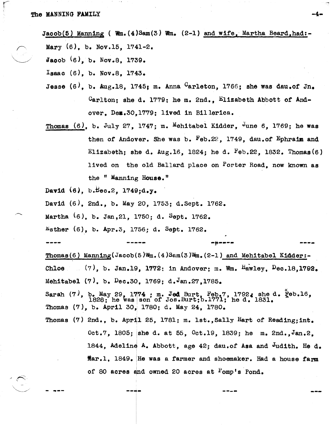$Jacob(5)$  Manning ( Wm. (4)Sam(3) Wm. (2-1) and wife, Martha Beard,had:-Mary  $(6)$ , b. Nov.15, 1741-2.

Jacob  $(6)$ , b. Nov.8, 1739.

Isaac (6), b. Nov.8, 1743.

- Jesse (6), b. Aug.18, 1745; m. Anna <sup>C</sup>arleton, 1766; she was dau.of Jn.  $C$ arlton: she d. 1779: he m. 2nd., Elizabeth Abbott of Andover. Dem.30.1779; lived in Billerica.
- Thomas (6), b. July 27, 1747; m. Mehitabel Kidder, <sup>J</sup>une 6, 1769; he was then of Andover. She was b.  $Feb.22$ , 1749, dau.of Ephraim and Elizabeth; she d. Aug.16, 1824; he d.  $F_{eb}$ .22, 1832. Thomas(6) lived on the old Ballard place on Porter Road, now known as the  $"$  Manning House."

David  $(6)$ , b. $\texttt{Hec.2, 1749:d.y.}$ 

**- ., .. -**

David (6), 2nd., b. May 20, 1753; d.Sept. 1762.

Martha (6), b. Jan, 21, 1750; d. Sept. 1762.

 $E_{\text{sther}}$  (6), b. Apr.3, 1756; d. Sept. 1762.

**--.,-**

Thomas(6) Manning(Jacob(5)Wm.(4)Sam(3)Wm.(2-1) and Mehitabel Kidder:-Chloe  $(7)$ , b. Jan.19, 1772; in Andover; m. Wm.  $Hawley$ ,  $Dec.18.1792$ . Mehitabel (7), b. Dec.30, 1769; d.Jan.27,1785.

**.-,,---- ----.** 

**----** ---

erah (7), b. May 29, 1774 ; m. Jed Burt, Feb.7, 1792, she d. Feb.16, Sarah (7), b. May 29, 1774 ; m. Jed Burt, b.1771; he d. 1831. Thomas (7), b. April 30, 1780; d. May 24, 1780.

Thomas (7) 2nd., b. April 25, 1781; m. 1st., Sally Hart of Reading; int. Oct.7, 1805; ishe d. at 55, Oct.19, 1839; he m. 2nd.,Jan.2, 1844, Adeline A. Abbott, age 42; dau.of Asa and Judith. He d. ffar.1, 1849. He was a farmer and shoemaker. Had a house farm of 80 acres and owned 20 acres at  $Fomp's$  Pond.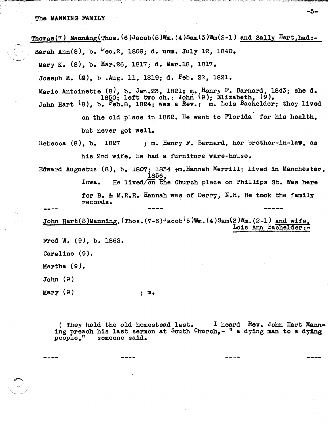$\sim$ 

 $\overline{\mathcal{L}}$  sa Thomas(7) Manning(Thos.(6)Jacob(5)Wm.(4)Sam(3)Wm(2-1) and Sally Hart.had:-Sarah Ann $(8)$ , b.  $\mu$ ec.2, 1809; d. unm. July 12, 1840. Mary K. (8), b. Mar.26, 1817; d. Mar.18, 1817. Joseph M. (S), b .Aug. 11, 1819; d. Feb. 22, 1821. Marie Antoinette (8), b. Jan.23, 1821; m. Henry F. Barnard, 1843; she d. 1850; left two ch.: John 9); Elizabeth, (9). John Hart (8), b. Feb.8, 1824; was a flev.; m. Lois Bachelder; they lived on the old place in 1862. He went to Florida for his health, but never got well. Rebecca (8), b. 1827 ; m. Henry F. Barnard, her brother-in-law, as his 2nd wife. He had a furniture ware-house. Edward Augustus  $(8)$ , b. 1807; 1834  $,m$ . Hannah Merrill; lived in Manchester. 1856, Iowa. He lived/on the Church place on Phillips st. Was here for B. & M.R.R. Hannah was of Derry, N.H. He took the family records. John Hart(8)Manning, (Thos.  $(7-6)$ <sup>d</sup>acob<sup>(</sup>5)Wm. (4)Sam(3)Wm. (2-1) and wife. Lois Ann Bachelder:-Fred W. (9). b. 1862. Caroline (9). Martha (9). John (9) Mary  $(9)$  ; m.

> (They held the old homestead last.  $I$  heard  $R_{ev}$ . John Hart Manning preach his last sermon at South Church,- " a dying man to a dying people." someone said.

> > **----**

-5-